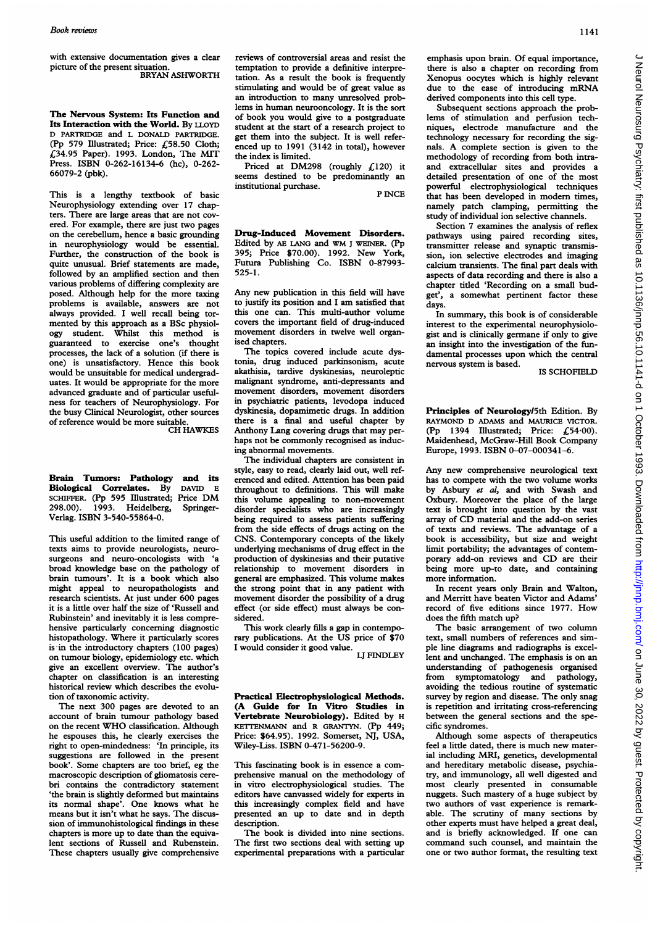with extensive documentation gives a clear picture of the present situation. BRYAN ASHWORTH

The Nervous System: Its Function and Its Interaction with the World. By LLOYD D PARTRIDGE and L DONALD PARTRIDGE. (Pp 579 Illustrated; Price: £58.50 Cloth;  $£34.95$  Paper). 1993. London, The MIT Press. ISBN 0-262-16134-6 (hc), 0-262-66079-2 (pbk).

This is a lengthy textbook of basic Neurophysiology extending over 17 chapters. There are large areas that are not covered. For example, there are just two pages on the cerebellum, hence a basic grounding in neurophysiology would be essential. Further, the construction of the book is quite unusual. Brief statements are made, followed by an amplified section and then various problems of differing complexity are posed. Although help for the more taxing problems is available, answers are not always provided. <sup>I</sup> well recall being tormented by this approach as a BSc physiology student. Whilst this method is guaranteed to exercise one's thought processes, the lack of a solution (if there is one) is unsatisfactory. Hence this book would be unsuitable for medical undergraduates. It would be appropriate for the more advanced graduate and of particular usefulness for teachers of Neurophysiology. For the busy Clinical Neurologist, other sources of reference would be more suitable. CH HAWKES

Brain Tumors: Pathology and its<br>Biological Correlates. By DAVID E Biological Correlates. By SCHIFFER. (Pp 595 Illustrated; Price DM<br>298.00). 1993. Heidelberg. Springer-1993. Heidelberg, Springer-Verlag. ISBN 3-540-55864-0.

This useful addition to the limited range of texts aims to provide neurologists, neurosurgeons and neuro-oncologists with 'a broad knowledge base on the pathology of brain tumours'. It is a book which also might appeal to neuropathologists and research scientists. At just under 600 pages it is a little over half the size of 'Russell and Rubinstein' and inevitably it is less comprehensive particularly concerning diagnostic histopathology. Where it particularly scores is in the introductory chapters (100 pages) on tumour biology, epidemiology etc. which give an excellent overview. The author's chapter on classification is an interesting historical review which describes the evolution of taxonomic activity.

The next 300 pages are devoted to an account of brain tumour pathology based on the recent WHO classification. Although he espouses this, he clearly exercises the right to open-mindedness: 'In principle, its suggestions are followed in the present book'. Some chapters are too brief, eg the macroscopic description of gliomatosis cerebri contains the contradictory statement 'the brain is slightly deformed but maintains its normal shape'. One knows what he means but it isn't what he says. The discussion of immunohistological findings in these chapters is more up to date than the equivalent sections of Russell and Rubenstein. These chapters usually give comprehensive an introduction to many unresolved problems in human neurooncology. It is the sort Subsequent sections approach the prob-<br>of book you would give to a postgraduate lems of stimulation and perfusion techof book you would give to a postgraduate lems of stimulation and perfusion techstudent at the start of a research project to niques, electrode manufacture and the get them into the subject. It is well refer-<br>get them into the subject. It is well referenced up to 1991 (3142 in total), however the index is limited.

Edited by AE LANG and WM J WEINER. (Pp transmitter release and synaptic transmis-395; Price \$70.00). 1992. New York,<br>
Futura Publishing Co. ISBN 0-87993- soleium transients The final next deals with Futura Publishing Co. ISBN 0-87993- calcium transients. The final part deals with

Any new publication in this field will have to justify its position and I am satisfied that days.<br>this one can. This multi-author volume

tonia, drug induced parkinsonism, acute nervous system is based. akathisia, tardive dyskinesias, neuroleptic fields system is based. IS SCHOFIELD malignant syndrome, anti-depressants and movement disorders, movement disorders in psychiatric patients, levodopa induced dyskinesia, dopamimetic drugs. In addition **Principles of Neurology/**5th Edition. By there is a final and useful chapter by RAYMOND D ADAMS and MAURICE VICTOR. there is a final and useful chapter by RAYMOND D ADAMS and MAURICE VICTOR.<br>Anthony Lang covering drugs that may per-<br>(Pp 1394 Illustrated; Price: £54.00). Anthony Lang covering drugs that may per-<br>haps not be commonly recognised as induc-<br>Maidenhead, McGraw-Hill Book Company

The individual chapters are consistent in style, easy to read, clearly laid out, well ref- Any new comprehensive neurological text erenced and edited. Attention has been paid has to compete with the two volume works throughout to definitions. This will make by Asbury  $et$  al, and with Swash and this volume appealing to non-movement Oxbury. Moreover the place of the large this volume appealing to non-movement Oxbury. Moreover the place of the large disorder specialists who are increasingly text is brought into question by the vast being required to assess patients suffering array of CD material and the add-on series from the side effects of drugs acting on the of texts and reviews. The advantage of a from the side effects of drugs acting on the CNS. Contemporary concepts of the likely book is accessibility, but size and weight underlying mechanisms of drug effect in the limit portability; the advantages of contem-<br>production of dyskinesias and their putative porary add-on reviews and CD are their production of dyskinesias and their putative porary add-on reviews and CD are their general are emphasized. This volume makes more information.<br>the strong point that in any patient with In recent years only Brain and Walton, the strong point that in any patient with In recent years only Brain and Walton, movement disorder the possibility of a drug and Merritt have beaten Victor and Adams' movement disorder the possibility of a drug<br>effect (or side effect) must always be coneffect (or side effect) must always be con-<br>sidered of five editions since 1977. How<br>does the fifth match up?

This work clearly fills a gap in contempo-

Vertebrate Neurobiology). Edited by H between the general sections and the spectrum sections were spectrum in the spectrum section sections were spectrum and the spectrum section section with spectrum sections were spectru KETTENMANN and R GRANTYN. (Pp 449; Price: \$64.95). 1992. Somerset, NJ, USA, Although some aspects of therapeutics

prehensive manual on the methodology of<br>in vitro electrophysiological studies. The editors have canvassed widely for experts in

experimental preparations with a particular

reviews of controversial areas and resist the emphasis upon brain. Of equal importance, temptation to provide a definitive interpre-<br>there is also a chapter on recording from temptation to provide a definitive interpre-<br>there is also a chapter on recording from<br>tation. As a result the book is frequently<br>Xenopus oocytes which is highly relevant tation. As a result the book is frequently Xenopus oocytes which is highly relevant stimulating and would be of great value as due to the ease of introducing mRNA due to the ease of introducing mRNA derived components into this cell type.

technology necessary for recording the sig-<br>nals. A complete section is given to the e index is limited.<br>
Priced at DM298 (roughly  $f(120)$  it and extracellular sites and provides a Priced at DM298 (roughly  $f(120)$  it and extracellular sites and provides a seems destined to be predominantly an detailed presentation of one of the most seems destined to be predominantly an detailed presentation of one of the most institutional purchase. powerful electrophysiological techniques.<br>PINCE that has been developed in mediant times that has been developed in modern times, namely patch clamping, permitting the study of individual ion selective channels.<br>Section 7 examines the analysis of reflex

Drug-Induced Movement Disorders. pathways using paired recording sites, aspects of data recording and there is also a chapter titled 'Recording on a small bud-<br>get', a somewhat pertinent factor these

this one can. This multi-author volume In summary, this book is of considerable<br>covers the important field of drug-induced interest to the experimental neurophysiology covers the important field of drug-induced interest to the experimental neurophysiolo-<br>movement disorders in twelve well organ-<br>sist and is clinically germane if only to give movement disorders in twelve well organ-<br>ised chapters.<br>on incicht into the investigation of the fun an insight into the investigation of the fun-The topics covered include acute dys- damental processes upon which the central

haps not be commonly recognised as induc-<br>ing abnormal movements.<br>Europe, 1993. ISBN 0-07-000341-6. Europe, 1993. ISBN 0-07-000341-6.

> text is brought into question by the vast<br>array of CD material and the add-on series being more up-to date, and containing

> does the fifth match up?<br>The basic arrangement of two column

rary publications. At the US price of \$70 text, small numbers of references and sim-<br>I would consider it good value. <br>  $\frac{1}{2}$  ple line diagrams and radiographs is excelple line diagrams and radiographs is excel-<br>LJ FINDLEY lent and unchanged. The emphasis is on an lent and unchanged. The emphasis is on an understanding of pathogenesis organised from symptomatology and pathology, avoiding the tedious routine of systematic **Practical Electrophysiological Methods.** survey by region and disease. The only snag (A Guide for In Vitro Studies in is repetition and irritating cross-referencing is repetition and irritating cross-referencing<br>between the general sections and the spe-

Wiley-Liss. ISBN 0-471-56200-9. **Feel a little dated, there is much new mater**ial including MRI, genetics, developmental<br>and hereditary metabolic disease, psychia-This fascinating book is in essence a com-<br>prehensive manual on the methodology of try, and immunology, all well digested and most clearly presented in consumable<br>nuggets. Such mastery of a huge subject by this increasingly complex field and have two authors of vast experience is remarkpresented an up to date and in depth able. The scrutiny of many sections by description.  $\omega$  other experts must have helped a great deal, scription.<br>The book is divided into nine sections. and is briefly acknowledged. If one can The book is divided into nine sections. and is briefly acknowledged. If one can The first two sections deal with setting up command such counsel, and maintain the command such counsel, and maintain the one or two author format, the resulting text